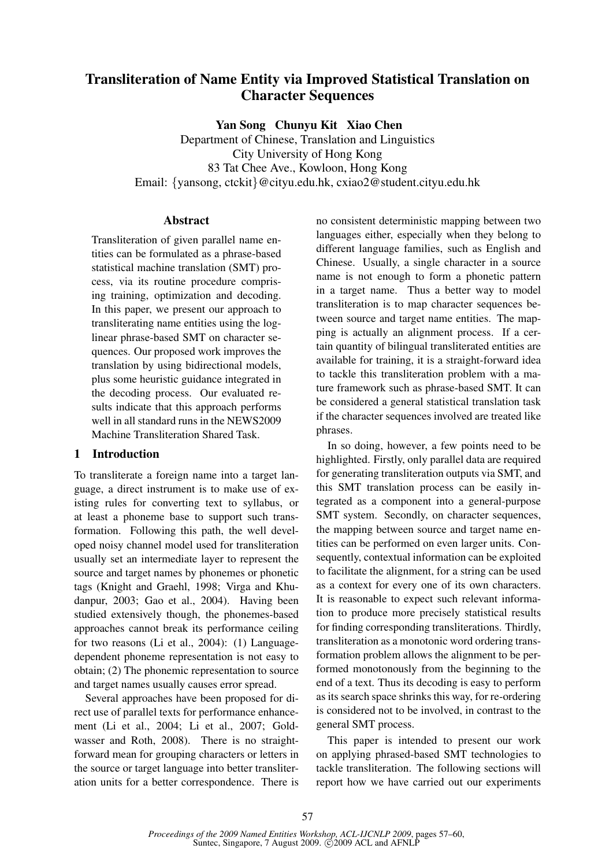# Transliteration of Name Entity via Improved Statistical Translation on Character Sequences

Yan Song Chunyu Kit Xiao Chen

Department of Chinese, Translation and Linguistics City University of Hong Kong 83 Tat Chee Ave., Kowloon, Hong Kong Email: {yansong, ctckit}@cityu.edu.hk, cxiao2@student.cityu.edu.hk

# Abstract

Transliteration of given parallel name entities can be formulated as a phrase-based statistical machine translation (SMT) process, via its routine procedure comprising training, optimization and decoding. In this paper, we present our approach to transliterating name entities using the loglinear phrase-based SMT on character sequences. Our proposed work improves the translation by using bidirectional models, plus some heuristic guidance integrated in the decoding process. Our evaluated results indicate that this approach performs well in all standard runs in the NEWS2009 Machine Transliteration Shared Task.

#### 1 Introduction

To transliterate a foreign name into a target language, a direct instrument is to make use of existing rules for converting text to syllabus, or at least a phoneme base to support such transformation. Following this path, the well developed noisy channel model used for transliteration usually set an intermediate layer to represent the source and target names by phonemes or phonetic tags (Knight and Graehl, 1998; Virga and Khudanpur, 2003; Gao et al., 2004). Having been studied extensively though, the phonemes-based approaches cannot break its performance ceiling for two reasons (Li et al., 2004): (1) Languagedependent phoneme representation is not easy to obtain; (2) The phonemic representation to source and target names usually causes error spread.

Several approaches have been proposed for direct use of parallel texts for performance enhancement (Li et al., 2004; Li et al., 2007; Goldwasser and Roth, 2008). There is no straightforward mean for grouping characters or letters in the source or target language into better transliteration units for a better correspondence. There is

no consistent deterministic mapping between two languages either, especially when they belong to different language families, such as English and Chinese. Usually, a single character in a source name is not enough to form a phonetic pattern in a target name. Thus a better way to model transliteration is to map character sequences between source and target name entities. The mapping is actually an alignment process. If a certain quantity of bilingual transliterated entities are available for training, it is a straight-forward idea to tackle this transliteration problem with a mature framework such as phrase-based SMT. It can be considered a general statistical translation task if the character sequences involved are treated like phrases.

In so doing, however, a few points need to be highlighted. Firstly, only parallel data are required for generating transliteration outputs via SMT, and this SMT translation process can be easily integrated as a component into a general-purpose SMT system. Secondly, on character sequences, the mapping between source and target name entities can be performed on even larger units. Consequently, contextual information can be exploited to facilitate the alignment, for a string can be used as a context for every one of its own characters. It is reasonable to expect such relevant information to produce more precisely statistical results for finding corresponding transliterations. Thirdly, transliteration as a monotonic word ordering transformation problem allows the alignment to be performed monotonously from the beginning to the end of a text. Thus its decoding is easy to perform as its search space shrinks this way, for re-ordering is considered not to be involved, in contrast to the general SMT process.

This paper is intended to present our work on applying phrased-based SMT technologies to tackle transliteration. The following sections will report how we have carried out our experiments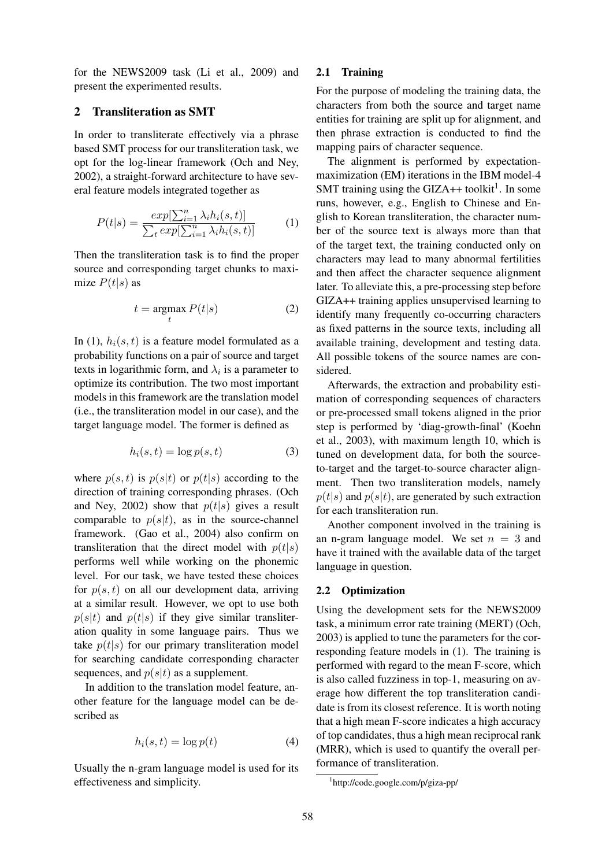for the NEWS2009 task (Li et al., 2009) and present the experimented results.

#### 2 Transliteration as SMT

In order to transliterate effectively via a phrase based SMT process for our transliteration task, we opt for the log-linear framework (Och and Ney, 2002), a straight-forward architecture to have several feature models integrated together as

$$
P(t|s) = \frac{exp[\sum_{i=1}^{n} \lambda_i h_i(s, t)]}{\sum_t exp[\sum_{i=1}^{n} \lambda_i h_i(s, t)]}
$$
(1)

Then the transliteration task is to find the proper source and corresponding target chunks to maximize  $P(t|s)$  as

$$
t = \underset{t}{\operatorname{argmax}} P(t|s) \tag{2}
$$

In (1),  $h_i(s, t)$  is a feature model formulated as a probability functions on a pair of source and target texts in logarithmic form, and  $\lambda_i$  is a parameter to optimize its contribution. The two most important models in this framework are the translation model (i.e., the transliteration model in our case), and the target language model. The former is defined as

$$
h_i(s,t) = \log p(s,t) \tag{3}
$$

where  $p(s, t)$  is  $p(s|t)$  or  $p(t|s)$  according to the direction of training corresponding phrases. (Och and Ney, 2002) show that  $p(t|s)$  gives a result comparable to  $p(s|t)$ , as in the source-channel framework. (Gao et al., 2004) also confirm on transliteration that the direct model with  $p(t|s)$ performs well while working on the phonemic level. For our task, we have tested these choices for  $p(s, t)$  on all our development data, arriving at a similar result. However, we opt to use both  $p(s|t)$  and  $p(t|s)$  if they give similar transliteration quality in some language pairs. Thus we take  $p(t|s)$  for our primary transliteration model for searching candidate corresponding character sequences, and  $p(s|t)$  as a supplement.

In addition to the translation model feature, another feature for the language model can be described as

$$
h_i(s,t) = \log p(t) \tag{4}
$$

Usually the n-gram language model is used for its effectiveness and simplicity.

#### 2.1 Training

For the purpose of modeling the training data, the characters from both the source and target name entities for training are split up for alignment, and then phrase extraction is conducted to find the mapping pairs of character sequence.

The alignment is performed by expectationmaximization (EM) iterations in the IBM model-4 SMT training using the GIZA++ toolkit<sup>1</sup>. In some runs, however, e.g., English to Chinese and English to Korean transliteration, the character number of the source text is always more than that of the target text, the training conducted only on characters may lead to many abnormal fertilities and then affect the character sequence alignment later. To alleviate this, a pre-processing step before GIZA++ training applies unsupervised learning to identify many frequently co-occurring characters as fixed patterns in the source texts, including all available training, development and testing data. All possible tokens of the source names are considered.

Afterwards, the extraction and probability estimation of corresponding sequences of characters or pre-processed small tokens aligned in the prior step is performed by 'diag-growth-final' (Koehn et al., 2003), with maximum length 10, which is tuned on development data, for both the sourceto-target and the target-to-source character alignment. Then two transliteration models, namely  $p(t|s)$  and  $p(s|t)$ , are generated by such extraction for each transliteration run.

Another component involved in the training is an n-gram language model. We set  $n = 3$  and have it trained with the available data of the target language in question.

#### 2.2 Optimization

Using the development sets for the NEWS2009 task, a minimum error rate training (MERT) (Och, 2003) is applied to tune the parameters for the corresponding feature models in (1). The training is performed with regard to the mean F-score, which is also called fuzziness in top-1, measuring on average how different the top transliteration candidate is from its closest reference. It is worth noting that a high mean F-score indicates a high accuracy of top candidates, thus a high mean reciprocal rank (MRR), which is used to quantify the overall performance of transliteration.

<sup>1</sup> http://code.google.com/p/giza-pp/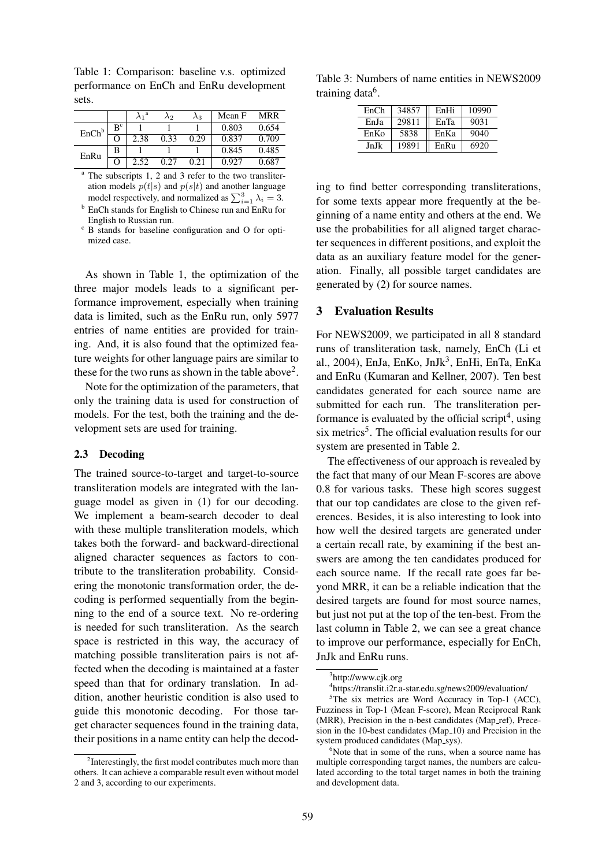Table 1: Comparison: baseline v.s. optimized performance on EnCh and EnRu development sets.

|                   |                |      | $\lambda_2$ | $\lambda_3$ | Mean F | MRR   |
|-------------------|----------------|------|-------------|-------------|--------|-------|
| EnCh <sup>b</sup> | B <sup>c</sup> |      |             |             | 0.803  | 0.654 |
|                   |                | 2.38 | 0.33        | 0.29        | 0.837  | 0.709 |
| EnRu              | В              |      |             |             | 0.845  | 0.485 |
|                   |                | 2.52 | 0.27        | 0.21        | 0.927  | 0.687 |

<sup>a</sup> The subscripts 1, 2 and 3 refer to the two transliteration models  $p(t|s)$  and  $p(s|t)$  and another language ation models  $p(t|s)$  and  $p(s|t)$  and another ranguage<br>model respectively, and normalized as  $\sum_{i=1}^{3} \lambda_i = 3$ .

<sup>b</sup> EnCh stands for English to Chinese run and EnRu for English to Russian run.

As shown in Table 1, the optimization of the three major models leads to a significant performance improvement, especially when training data is limited, such as the EnRu run, only 5977 entries of name entities are provided for training. And, it is also found that the optimized feature weights for other language pairs are similar to these for the two runs as shown in the table above<sup>2</sup>.

Note for the optimization of the parameters, that only the training data is used for construction of models. For the test, both the training and the development sets are used for training.

#### 2.3 Decoding

The trained source-to-target and target-to-source transliteration models are integrated with the language model as given in (1) for our decoding. We implement a beam-search decoder to deal with these multiple transliteration models, which takes both the forward- and backward-directional aligned character sequences as factors to contribute to the transliteration probability. Considering the monotonic transformation order, the decoding is performed sequentially from the beginning to the end of a source text. No re-ordering is needed for such transliteration. As the search space is restricted in this way, the accuracy of matching possible transliteration pairs is not affected when the decoding is maintained at a faster speed than that for ordinary translation. In addition, another heuristic condition is also used to guide this monotonic decoding. For those target character sequences found in the training data, their positions in a name entity can help the decod-

Table 3: Numbers of name entities in NEWS2009 training data<sup>6</sup>.

| EnCh | 34857 | EnHi | 10990 |  |  |
|------|-------|------|-------|--|--|
| EnJa | 29811 | EnTa | 9031  |  |  |
| EnKo | 5838  | EnKa | 9040  |  |  |
| JnJk | 19891 | EnRu | 6920  |  |  |

ing to find better corresponding transliterations, for some texts appear more frequently at the beginning of a name entity and others at the end. We use the probabilities for all aligned target character sequences in different positions, and exploit the data as an auxiliary feature model for the generation. Finally, all possible target candidates are generated by (2) for source names.

#### 3 Evaluation Results

For NEWS2009, we participated in all 8 standard runs of transliteration task, namely, EnCh (Li et al., 2004), EnJa, EnKo, JnJk<sup>3</sup>, EnHi, EnTa, EnKa and EnRu (Kumaran and Kellner, 2007). Ten best candidates generated for each source name are submitted for each run. The transliteration performance is evaluated by the official script<sup>4</sup>, using six metrics<sup>5</sup>. The official evaluation results for our system are presented in Table 2.

The effectiveness of our approach is revealed by the fact that many of our Mean F-scores are above 0.8 for various tasks. These high scores suggest that our top candidates are close to the given references. Besides, it is also interesting to look into how well the desired targets are generated under a certain recall rate, by examining if the best answers are among the ten candidates produced for each source name. If the recall rate goes far beyond MRR, it can be a reliable indication that the desired targets are found for most source names, but just not put at the top of the ten-best. From the last column in Table 2, we can see a great chance to improve our performance, especially for EnCh, JnJk and EnRu runs.

 $\circ$  B stands for baseline configuration and O for optimized case.

<sup>&</sup>lt;sup>2</sup>Interestingly, the first model contributes much more than others. It can achieve a comparable result even without model 2 and 3, according to our experiments.

<sup>3</sup> http://www.cjk.org

<sup>4</sup> https://translit.i2r.a-star.edu.sg/news2009/evaluation/

 ${}^{5}$ The six metrics are Word Accuracy in Top-1 (ACC), Fuzziness in Top-1 (Mean F-score), Mean Reciprocal Rank (MRR), Precision in the n-best candidates (Map ref), Precesion in the 10-best candidates (Map<sub>10</sub>) and Precision in the system produced candidates (Map<sub>sys</sub>).

 $6$ Note that in some of the runs, when a source name has multiple corresponding target names, the numbers are calculated according to the total target names in both the training and development data.